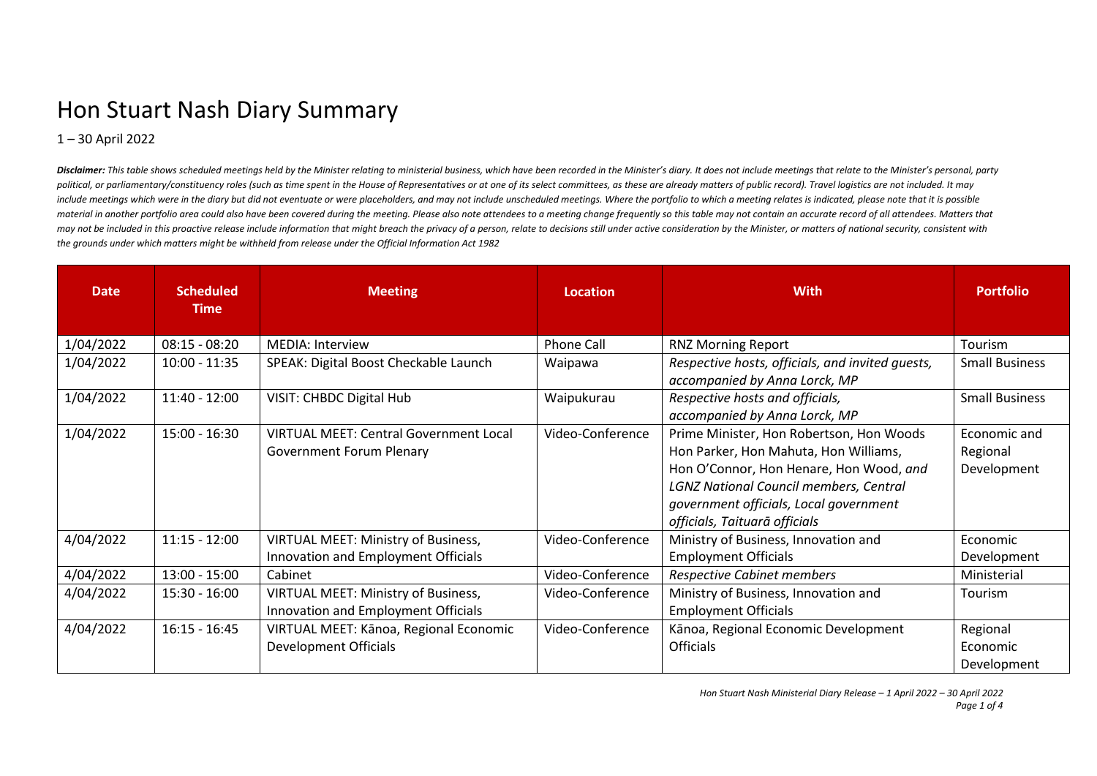## Hon Stuart Nash Diary Summary

1 – 30 April 2022

Disclaimer: This table shows scheduled meetings held by the Minister relating to ministerial business, which have been recorded in the Minister's digry. It does not include meetings that relate to the Minister's personal, political, or parliamentary/constituency roles (such as time spent in the House of Representatives or at one of its select committees, as these are already matters of public record). Travel logistics are not included. It m include meetings which were in the diary but did not eventuate or were placeholders, and may not include unscheduled meetings. Where the portfolio to which a meeting relates is indicated, please note that it is possible material in another portfolio area could also have been covered during the meeting. Please also note attendees to a meeting change frequently so this table may not contain an accurate record of all attendees. Matters that may not be included in this proactive release include information that might breach the privacy of a person, relate to decisions still under active consideration by the Minister, or matters of national security, consistent *the grounds under which matters might be withheld from release under the Official Information Act 1982*

| <b>Date</b> | <b>Scheduled</b><br>Time | <b>Meeting</b>                                                                   | Location          | <b>With</b>                                                                                                                                                                                                                                              | <b>Portfolio</b>                        |
|-------------|--------------------------|----------------------------------------------------------------------------------|-------------------|----------------------------------------------------------------------------------------------------------------------------------------------------------------------------------------------------------------------------------------------------------|-----------------------------------------|
| 1/04/2022   | $08:15 - 08:20$          | <b>MEDIA: Interview</b>                                                          | <b>Phone Call</b> | <b>RNZ Morning Report</b>                                                                                                                                                                                                                                | Tourism                                 |
| 1/04/2022   | $10:00 - 11:35$          | SPEAK: Digital Boost Checkable Launch                                            | Waipawa           | Respective hosts, officials, and invited guests,<br>accompanied by Anna Lorck, MP                                                                                                                                                                        | <b>Small Business</b>                   |
| 1/04/2022   | $11:40 - 12:00$          | <b>VISIT: CHBDC Digital Hub</b>                                                  | Waipukurau        | Respective hosts and officials,<br>accompanied by Anna Lorck, MP                                                                                                                                                                                         | <b>Small Business</b>                   |
| 1/04/2022   | $15:00 - 16:30$          | <b>VIRTUAL MEET: Central Government Local</b><br><b>Government Forum Plenary</b> | Video-Conference  | Prime Minister, Hon Robertson, Hon Woods<br>Hon Parker, Hon Mahuta, Hon Williams,<br>Hon O'Connor, Hon Henare, Hon Wood, and<br><b>LGNZ National Council members, Central</b><br>government officials, Local government<br>officials, Taituarā officials | Economic and<br>Regional<br>Development |
| 4/04/2022   | $11:15 - 12:00$          | VIRTUAL MEET: Ministry of Business,<br>Innovation and Employment Officials       | Video-Conference  | Ministry of Business, Innovation and<br><b>Employment Officials</b>                                                                                                                                                                                      | Economic<br>Development                 |
| 4/04/2022   | $13:00 - 15:00$          | Cabinet                                                                          | Video-Conference  | Respective Cabinet members                                                                                                                                                                                                                               | Ministerial                             |
| 4/04/2022   | $15:30 - 16:00$          | VIRTUAL MEET: Ministry of Business,<br>Innovation and Employment Officials       | Video-Conference  | Ministry of Business, Innovation and<br><b>Employment Officials</b>                                                                                                                                                                                      | Tourism                                 |
| 4/04/2022   | $16:15 - 16:45$          | VIRTUAL MEET: Kānoa, Regional Economic<br>Development Officials                  | Video-Conference  | Kānoa, Regional Economic Development<br><b>Officials</b>                                                                                                                                                                                                 | Regional<br>Economic<br>Development     |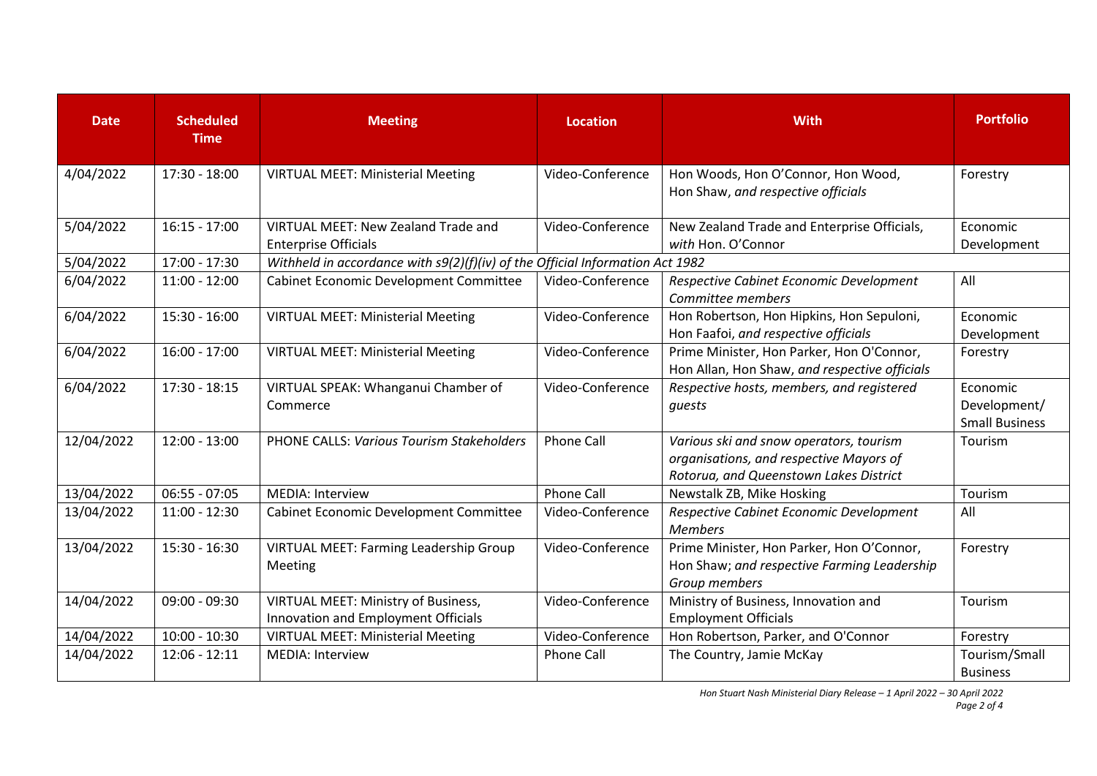| <b>Date</b> | <b>Scheduled</b><br><b>Time</b> | <b>Meeting</b>                                                                    | <b>Location</b>                                                               | <b>With</b>                                                                                                                  | <b>Portfolio</b>                                  |  |  |
|-------------|---------------------------------|-----------------------------------------------------------------------------------|-------------------------------------------------------------------------------|------------------------------------------------------------------------------------------------------------------------------|---------------------------------------------------|--|--|
| 4/04/2022   | 17:30 - 18:00                   | <b>VIRTUAL MEET: Ministerial Meeting</b>                                          | Video-Conference                                                              | Hon Woods, Hon O'Connor, Hon Wood,<br>Hon Shaw, and respective officials                                                     | Forestry                                          |  |  |
| 5/04/2022   | $16:15 - 17:00$                 | <b>VIRTUAL MEET: New Zealand Trade and</b><br><b>Enterprise Officials</b>         | Video-Conference                                                              | New Zealand Trade and Enterprise Officials,<br>with Hon. O'Connor                                                            | Economic<br>Development                           |  |  |
| 5/04/2022   | 17:00 - 17:30                   |                                                                                   | Withheld in accordance with s9(2)(f)(iv) of the Official Information Act 1982 |                                                                                                                              |                                                   |  |  |
| 6/04/2022   | $11:00 - 12:00$                 | Cabinet Economic Development Committee                                            | Video-Conference                                                              | Respective Cabinet Economic Development<br>Committee members                                                                 | All                                               |  |  |
| 6/04/2022   | $15:30 - 16:00$                 | <b>VIRTUAL MEET: Ministerial Meeting</b>                                          | Video-Conference                                                              | Hon Robertson, Hon Hipkins, Hon Sepuloni,<br>Hon Faafoi, and respective officials                                            | Economic<br>Development                           |  |  |
| 6/04/2022   | $16:00 - 17:00$                 | <b>VIRTUAL MEET: Ministerial Meeting</b>                                          | Video-Conference                                                              | Prime Minister, Hon Parker, Hon O'Connor,<br>Hon Allan, Hon Shaw, and respective officials                                   | Forestry                                          |  |  |
| 6/04/2022   | $17:30 - 18:15$                 | VIRTUAL SPEAK: Whanganui Chamber of<br>Commerce                                   | Video-Conference                                                              | Respective hosts, members, and registered<br>guests                                                                          | Economic<br>Development/<br><b>Small Business</b> |  |  |
| 12/04/2022  | $12:00 - 13:00$                 | <b>PHONE CALLS: Various Tourism Stakeholders</b>                                  | <b>Phone Call</b>                                                             | Various ski and snow operators, tourism<br>organisations, and respective Mayors of<br>Rotorua, and Queenstown Lakes District | Tourism                                           |  |  |
| 13/04/2022  | $06:55 - 07:05$                 | <b>MEDIA: Interview</b>                                                           | Phone Call                                                                    | Newstalk ZB, Mike Hosking                                                                                                    | Tourism                                           |  |  |
| 13/04/2022  | $11:00 - 12:30$                 | Cabinet Economic Development Committee                                            | Video-Conference                                                              | Respective Cabinet Economic Development<br><b>Members</b>                                                                    | All                                               |  |  |
| 13/04/2022  | $15:30 - 16:30$                 | <b>VIRTUAL MEET: Farming Leadership Group</b><br>Meeting                          | Video-Conference                                                              | Prime Minister, Hon Parker, Hon O'Connor,<br>Hon Shaw; and respective Farming Leadership<br>Group members                    | Forestry                                          |  |  |
| 14/04/2022  | $09:00 - 09:30$                 | <b>VIRTUAL MEET: Ministry of Business,</b><br>Innovation and Employment Officials | Video-Conference                                                              | Ministry of Business, Innovation and<br><b>Employment Officials</b>                                                          | Tourism                                           |  |  |
| 14/04/2022  | $10:00 - 10:30$                 | <b>VIRTUAL MEET: Ministerial Meeting</b>                                          | Video-Conference                                                              | Hon Robertson, Parker, and O'Connor                                                                                          | Forestry                                          |  |  |
| 14/04/2022  | $12:06 - 12:11$                 | <b>MEDIA: Interview</b>                                                           | <b>Phone Call</b>                                                             | The Country, Jamie McKay                                                                                                     | Tourism/Small                                     |  |  |
|             |                                 |                                                                                   |                                                                               |                                                                                                                              | <b>Business</b>                                   |  |  |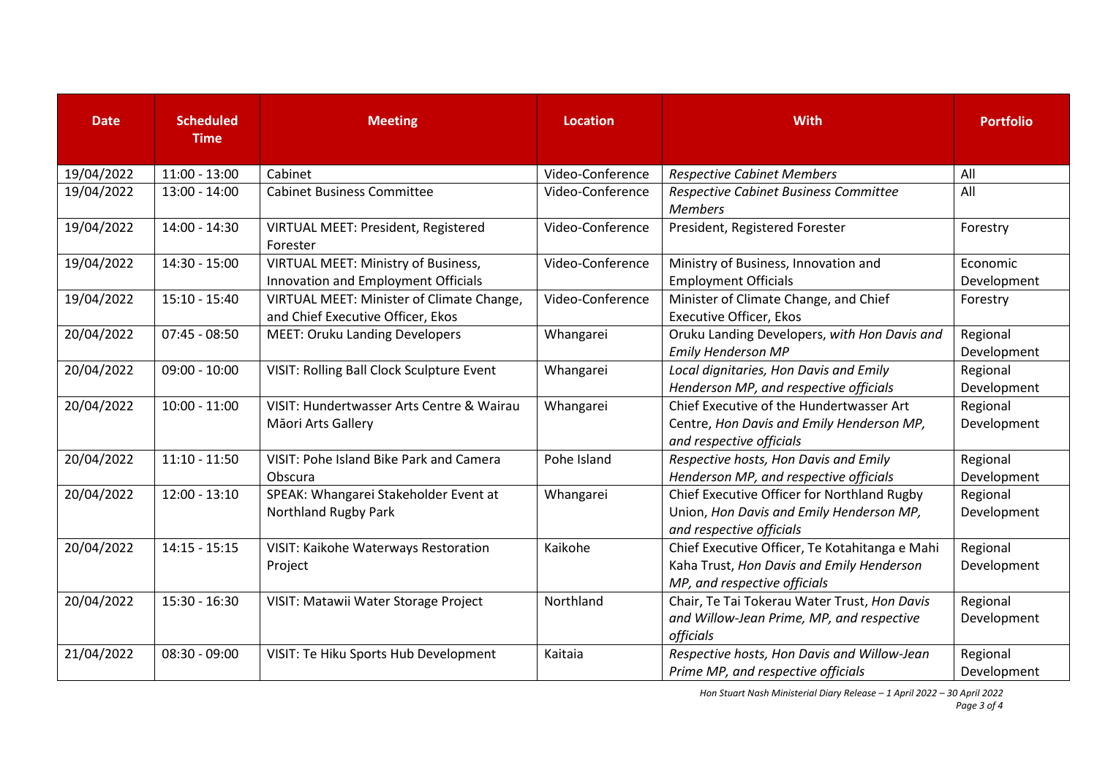| <b>Date</b> | <b>Scheduled</b><br><b>Time</b> | <b>Meeting</b>                                                                    | <b>Location</b>  | <b>With</b>                                                                                                                 | <b>Portfolio</b>        |
|-------------|---------------------------------|-----------------------------------------------------------------------------------|------------------|-----------------------------------------------------------------------------------------------------------------------------|-------------------------|
| 19/04/2022  | $11:00 - 13:00$                 | Cabinet                                                                           | Video-Conference | <b>Respective Cabinet Members</b>                                                                                           | All                     |
| 19/04/2022  | $13:00 - 14:00$                 | <b>Cabinet Business Committee</b>                                                 | Video-Conference | Respective Cabinet Business Committee<br><b>Members</b>                                                                     | All                     |
| 19/04/2022  | 14:00 - 14:30                   | VIRTUAL MEET: President, Registered<br>Forester                                   | Video-Conference | President, Registered Forester                                                                                              | Forestry                |
| 19/04/2022  | $14:30 - 15:00$                 | <b>VIRTUAL MEET: Ministry of Business,</b><br>Innovation and Employment Officials | Video-Conference | Ministry of Business, Innovation and<br><b>Employment Officials</b>                                                         | Economic<br>Development |
| 19/04/2022  | $15:10 - 15:40$                 | VIRTUAL MEET: Minister of Climate Change,<br>and Chief Executive Officer, Ekos    | Video-Conference | Minister of Climate Change, and Chief<br><b>Executive Officer, Ekos</b>                                                     | Forestry                |
| 20/04/2022  | $07:45 - 08:50$                 | <b>MEET: Oruku Landing Developers</b>                                             | Whangarei        | Oruku Landing Developers, with Hon Davis and<br><b>Emily Henderson MP</b>                                                   | Regional<br>Development |
| 20/04/2022  | $09:00 - 10:00$                 | VISIT: Rolling Ball Clock Sculpture Event                                         | Whangarei        | Local dignitaries, Hon Davis and Emily<br>Henderson MP, and respective officials                                            | Regional<br>Development |
| 20/04/2022  | $10:00 - 11:00$                 | VISIT: Hundertwasser Arts Centre & Wairau<br>Māori Arts Gallery                   | Whangarei        | Chief Executive of the Hundertwasser Art<br>Centre, Hon Davis and Emily Henderson MP,<br>and respective officials           | Regional<br>Development |
| 20/04/2022  | $11:10 - 11:50$                 | VISIT: Pohe Island Bike Park and Camera<br>Obscura                                | Pohe Island      | Respective hosts, Hon Davis and Emily<br>Henderson MP, and respective officials                                             | Regional<br>Development |
| 20/04/2022  | $12:00 - 13:10$                 | SPEAK: Whangarei Stakeholder Event at<br>Northland Rugby Park                     | Whangarei        | Chief Executive Officer for Northland Rugby<br>Union, Hon Davis and Emily Henderson MP,<br>and respective officials         | Regional<br>Development |
| 20/04/2022  | $14:15 - 15:15$                 | VISIT: Kaikohe Waterways Restoration<br>Project                                   | Kaikohe          | Chief Executive Officer, Te Kotahitanga e Mahi<br>Kaha Trust, Hon Davis and Emily Henderson<br>MP, and respective officials | Regional<br>Development |
| 20/04/2022  | $15:30 - 16:30$                 | VISIT: Matawii Water Storage Project                                              | Northland        | Chair, Te Tai Tokerau Water Trust, Hon Davis<br>and Willow-Jean Prime, MP, and respective<br>officials                      | Regional<br>Development |
| 21/04/2022  | $08:30 - 09:00$                 | VISIT: Te Hiku Sports Hub Development                                             | Kaitaia          | Respective hosts, Hon Davis and Willow-Jean<br>Prime MP, and respective officials                                           | Regional<br>Development |

*Hon Stuart Nash Ministerial Diary Release – 1 April 2022 – 30 April 2022*